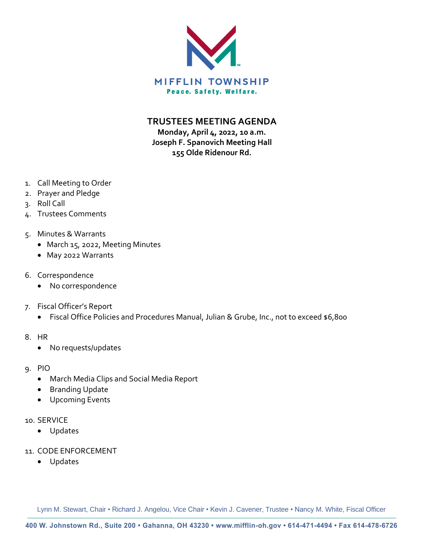

**TRUSTEES MEETING AGENDA**

**Monday, April 4, 2022, 10 a.m. Joseph F. Spanovich Meeting Hall 155 Olde Ridenour Rd.**

- 1. Call Meeting to Order
- 2. Prayer and Pledge
- 3. Roll Call
- 4. Trustees Comments
- 5. Minutes & Warrants
	- March 15, 2022, Meeting Minutes
	- May 2022 Warrants
- 6. Correspondence
	- No correspondence
- 7. Fiscal Officer's Report
	- Fiscal Office Policies and Procedures Manual, Julian & Grube, Inc., not to exceed \$6,800
- 8. HR
	- No requests/updates
- 9. PIO
	- March Media Clips and Social Media Report
	- Branding Update
	- Upcoming Events
- 10. SERVICE
	- Updates
- 11. CODE ENFORCEMENT
	- Updates

Lynn M. Stewart, Chair • Richard J. Angelou, Vice Chair • Kevin J. Cavener, Trustee • Nancy M. White, Fiscal Officer